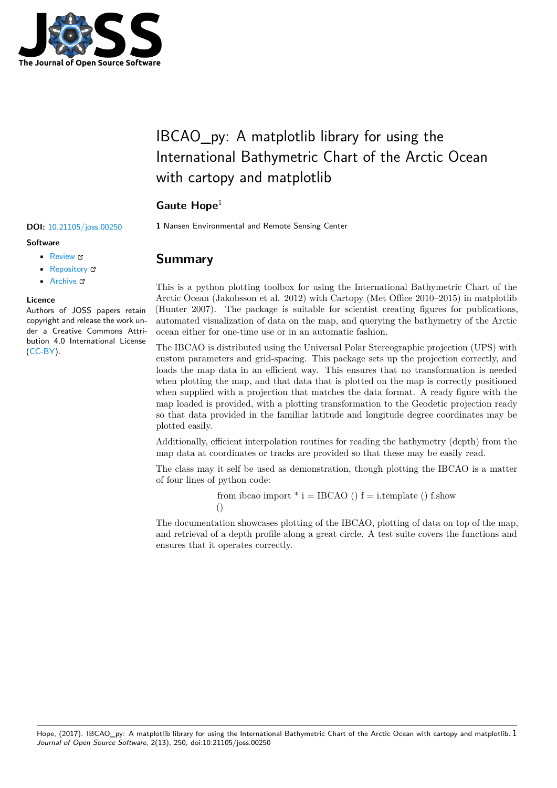

## IBCAO\_py: A matplotlib library for using the International Bathymetric Chart of the Arctic Ocean with cartopy and matplotlib

### Gaute Hope<sup>1</sup>

**DOI:** 10.21105/joss.00250 **1** Nansen Environmental and Remote Sensing Center

#### **Software** • Review L'

- [Repository](https://doi.org/10.21105/joss.00250) &
- Archive &

#### **Licence**

Autho[rs of JOSS](https://github.com/gauteh/ibcao_py) papers retain copyright and release the work under a [Creativ](http://dx.doi.org/10.5281/zenodo.580775)e Commons Attribution 4.0 International License (CC-BY).

# **Summary**

This is a python plotting toolbox for using the International Bathymetric Chart of the Arctic Ocean (Jakobsson et al. 2012) with Cartopy (Met Office 2010–2015) in matplotlib (Hunter 2007). The package is suitable for scientist creating figures for publications, automated visualization of data on the map, and querying the bathymetry of the Arctic ocean either for one-time use or in an automatic fashion.

The IBCAO is distributed using the Universal Polar Stereographic projection (UPS) with custom parameters and grid-spacing. This package sets up the projection correctly, and loads the map data in an efficient way. This ensures that no transformation is needed when plotting the map, and that data that is plotted on the map is correctly positioned whe[n supplie](http://www.ngdc.noaa.gov/mgg/bathymetry/arctic/arctic.html)d with a projection that matches the data format. A ready figure with the map loaded is provided, with a plotting transformation to the Geodetic projection ready so that data provided in the familiar latitude and longitude degree coordinates may be plotted easily.

Additionally, efficient interpolation routines for reading the bathymetry (depth) from the map data at coordinates or tracks are provided so that these may be easily read.

The class may it self be used as demonstration, though plotting the IBCAO is a matter of four lines of python code:

> from ibcao import  $*$  i = IBCAO () f = i.template () f.show ()

The documentation showcases plotting of the IBCAO, plotting of data on top of the map, and retrieval of a depth profile along a great circle. A test suite covers the functions and ensures that it operates correctly.